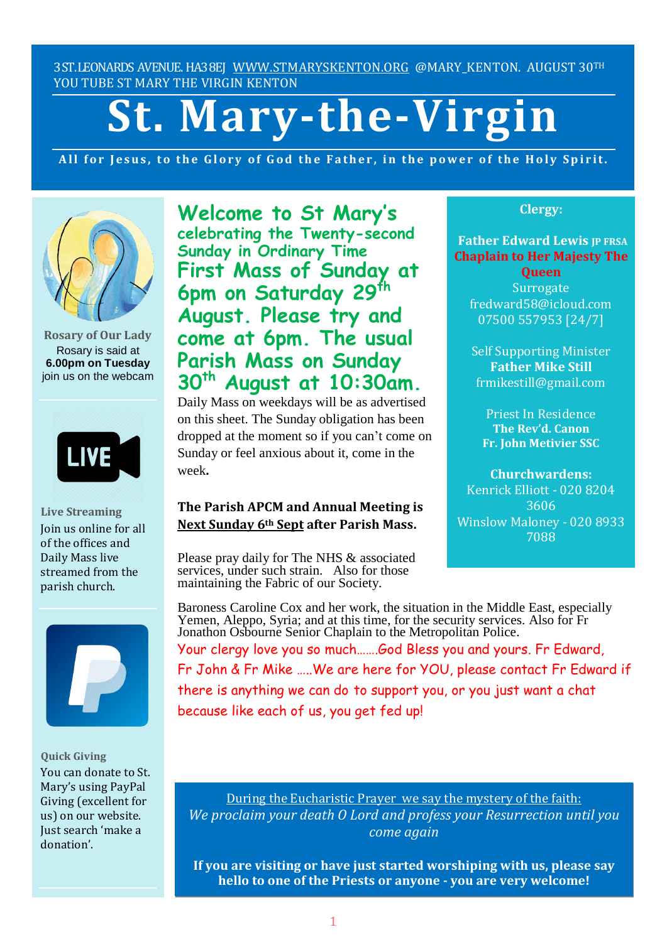3ST.LEONARDS AVENUE. HA38EJ [WWW.STMARYSKENTON.ORG](http://www.stmaryskenton.org/) @MARY KENTON. AUGUST 30TH YOU TUBE ST MARY THE VIRGIN KENTON

# **St. Mary-the-Virgin**

All for Jesus, to the Glory of God the Father, in the power of the Holy Spirit.



**Rosary of Our Lady** Rosary is said at **6.00pm on Tuesday** join us on the webcam



**Live Streaming** Join us online for all of the offices and Daily Mass live streamed from the parish church.



**Quick Giving** You can donate to St. Mary's using PayPal Giving (excellent for us) on our website. Just search 'make a donation'.

**Welcome to St Mary's celebrating the Twenty-second Sunday in Ordinary Time First Mass of Sunday at 6pm on Saturday 29th August. Please try and come at 6pm. The usual Parish Mass on Sunday 30th August at 10:30am.**

Daily Mass on weekdays will be as advertised on this sheet. The Sunday obligation has been dropped at the moment so if you can't come on Sunday or feel anxious about it, come in the week**.**

# **The Parish APCM and Annual Meeting is Next Sunday 6th Sept after Parish Mass.**

Please pray daily for The NHS & associated services, under such strain. Also for those maintaining the Fabric of our Society.

# **Clergy:**

**Father Edward Lewis IP FRSA Chaplain to Her Majesty The**

**Queen Surrogate** fredward58@icloud.com 07500 557953 [24/7]

Self Supporting Minister **Father Mike Still** frmikestill@gmail.com

Priest In Residence **The Rev'd. Canon Fr. John Metivier SSC**

**Churchwardens:** Kenrick Elliott - 020 8204 3606 Winslow Maloney - 020 8933 7088

*Please let Fr. Edward know*

Baroness Caroline Cox and her work, the situation in the Middle East, especially Yemen, Aleppo, Syria; and at this time, for the security services. Also for Fr Jonathon Osbourne Senior Chaplain to the Metropolitan Police. Your clergy love you so much…….God Bless you and yours. Fr Edward, Fr John & Fr Mike …..We are here for YOU, please contact Fr Edward if there is anything we can do to support you, or you just want a chat because like each of us, you get fed up!

During the Eucharistic Prayer we say the mystery of the faith: *We proclaim your death O Lord and profess your Resurrection until you come again*

**If you are visiting or have just started worshiping with us, please say hello to one of the Priests or anyone - you are very welcome!**